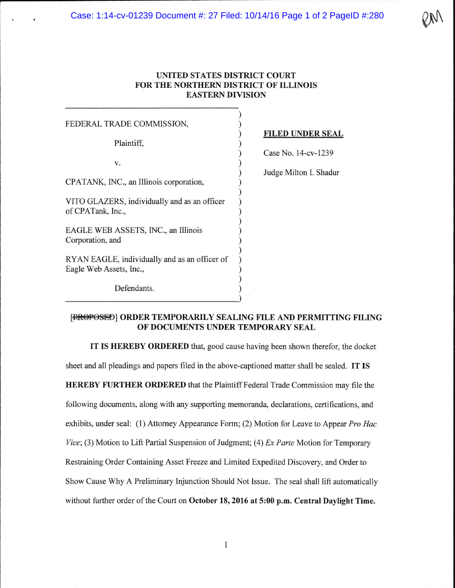Case: 1:14-cv-01239 Document #: 27 Filed: 10/14/16 Page 1 of 2 PageID #:280

## **UNITED STATES DISTRICT COURT FOR THE NORTHERN DISTRICT OF ILLINOIS EASTERN DIVISION**

)

) ) ) ) ) ) ) ) ) ) ) ) ) ) ) ) ) )

FEDERAL TRADE COMMISSION,

Plaintiff,

v.

CPATANK, INC., an Illinois corporation,

VITO GLAZERS, individually and as an officer of CPATank, Inc.,

EAGLE WEB ASSETS, INC., an Illinois Corporation, and

RY AN EAGLE, individually and as an officer of Eagle Web Assets, Inc.,

~~~~~~~~~~~~~~~~~)

Defendants.

## **FILED UNDER SEAL**

Case No. 14-cv-1239

Judge Milton I. Shadur

## [RROPOSED] ORDER TEMPORARILY SEALING FILE AND PERMITTING FILING **OF DOCUMENTS UNDER TEMPORARY SEAL**

**IT IS HEREBY ORDERED** that, good cause having been shown therefor, the docket sheet and all pleadings and papers filed in the above-captioned matter shall be sealed. **IT IS HEREBY FURTHER ORDERED** that the Plaintiff Federal Trade Commission may file the following documents, along with any supporting memoranda, declarations, certifications, and exhibits, under seal: (1) Attorney Appearance Form; (2) Motion for Leave to Appear *Pro Hae Vice;* (3) Motion to Lift Partial Suspension of Judgment; (4) *Ex Parte* Motion for Temporary Restraining Order Containing Asset Freeze and Limited Expedited Discovery, and Order to Show Cause Why A Preliminary Injunction Should Not Issue. The seal shall lift automatically without further order of the Court on **October 18, 2016 at 5:00 p.m. Central Daylight Time.**